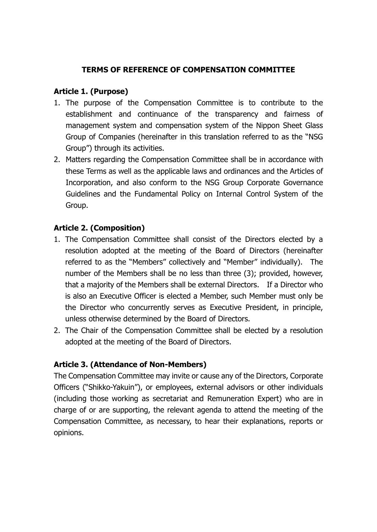### **TERMS OF REFERENCE OF COMPENSATION COMMITTEE**

#### **Article 1. (Purpose)**

- 1. The purpose of the Compensation Committee is to contribute to the establishment and continuance of the transparency and fairness of management system and compensation system of the Nippon Sheet Glass Group of Companies (hereinafter in this translation referred to as the "NSG Group") through its activities.
- 2. Matters regarding the Compensation Committee shall be in accordance with these Terms as well as the applicable laws and ordinances and the Articles of Incorporation, and also conform to the NSG Group Corporate Governance Guidelines and the Fundamental Policy on Internal Control System of the Group.

## **Article 2. (Composition)**

- 1. The Compensation Committee shall consist of the Directors elected by a resolution adopted at the meeting of the Board of Directors (hereinafter referred to as the "Members" collectively and "Member" individually). The number of the Members shall be no less than three (3); provided, however, that a majority of the Members shall be external Directors. If a Director who is also an Executive Officer is elected a Member, such Member must only be the Director who concurrently serves as Executive President, in principle, unless otherwise determined by the Board of Directors.
- 2. The Chair of the Compensation Committee shall be elected by a resolution adopted at the meeting of the Board of Directors.

#### **Article 3. (Attendance of Non-Members)**

The Compensation Committee may invite or cause any of the Directors, Corporate Officers ("Shikko-Yakuin"), or employees, external advisors or other individuals (including those working as secretariat and Remuneration Expert) who are in charge of or are supporting, the relevant agenda to attend the meeting of the Compensation Committee, as necessary, to hear their explanations, reports or opinions.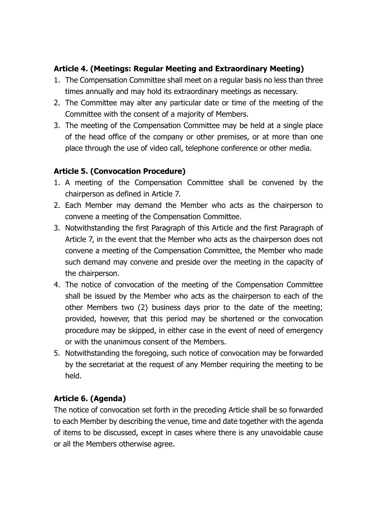### **Article 4. (Meetings: Regular Meeting and Extraordinary Meeting)**

- 1. The Compensation Committee shall meet on a regular basis no less than three times annually and may hold its extraordinary meetings as necessary.
- 2. The Committee may alter any particular date or time of the meeting of the Committee with the consent of a majority of Members.
- 3. The meeting of the Compensation Committee may be held at a single place of the head office of the company or other premises, or at more than one place through the use of video call, telephone conference or other media.

## **Article 5. (Convocation Procedure)**

- 1. A meeting of the Compensation Committee shall be convened by the chairperson as defined in Article 7.
- 2. Each Member may demand the Member who acts as the chairperson to convene a meeting of the Compensation Committee.
- 3. Notwithstanding the first Paragraph of this Article and the first Paragraph of Article 7, in the event that the Member who acts as the chairperson does not convene a meeting of the Compensation Committee, the Member who made such demand may convene and preside over the meeting in the capacity of the chairperson.
- 4. The notice of convocation of the meeting of the Compensation Committee shall be issued by the Member who acts as the chairperson to each of the other Members two (2) business days prior to the date of the meeting; provided, however, that this period may be shortened or the convocation procedure may be skipped, in either case in the event of need of emergency or with the unanimous consent of the Members.
- 5. Notwithstanding the foregoing, such notice of convocation may be forwarded by the secretariat at the request of any Member requiring the meeting to be held.

## **Article 6. (Agenda)**

The notice of convocation set forth in the preceding Article shall be so forwarded to each Member by describing the venue, time and date together with the agenda of items to be discussed, except in cases where there is any unavoidable cause or all the Members otherwise agree.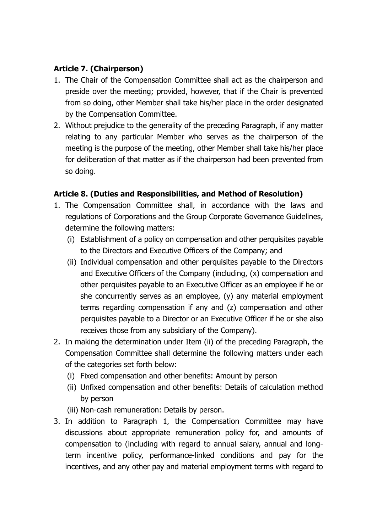## **Article 7. (Chairperson)**

- 1. The Chair of the Compensation Committee shall act as the chairperson and preside over the meeting; provided, however, that if the Chair is prevented from so doing, other Member shall take his/her place in the order designated by the Compensation Committee.
- 2. Without prejudice to the generality of the preceding Paragraph, if any matter relating to any particular Member who serves as the chairperson of the meeting is the purpose of the meeting, other Member shall take his/her place for deliberation of that matter as if the chairperson had been prevented from so doing.

# **Article 8. (Duties and Responsibilities, and Method of Resolution)**

- 1. The Compensation Committee shall, in accordance with the laws and regulations of Corporations and the Group Corporate Governance Guidelines, determine the following matters:
	- (i) Establishment of a policy on compensation and other perquisites payable to the Directors and Executive Officers of the Company; and
	- (ii) Individual compensation and other perquisites payable to the Directors and Executive Officers of the Company (including, (x) compensation and other perquisites payable to an Executive Officer as an employee if he or she concurrently serves as an employee, (y) any material employment terms regarding compensation if any and (z) compensation and other perquisites payable to a Director or an Executive Officer if he or she also receives those from any subsidiary of the Company).
- 2. In making the determination under Item (ii) of the preceding Paragraph, the Compensation Committee shall determine the following matters under each of the categories set forth below:
	- (i) Fixed compensation and other benefits: Amount by person
	- (ii) Unfixed compensation and other benefits: Details of calculation method by person
	- (iii) Non-cash remuneration: Details by person.
- 3. In addition to Paragraph 1, the Compensation Committee may have discussions about appropriate remuneration policy for, and amounts of compensation to (including with regard to annual salary, annual and longterm incentive policy, performance-linked conditions and pay for the incentives, and any other pay and material employment terms with regard to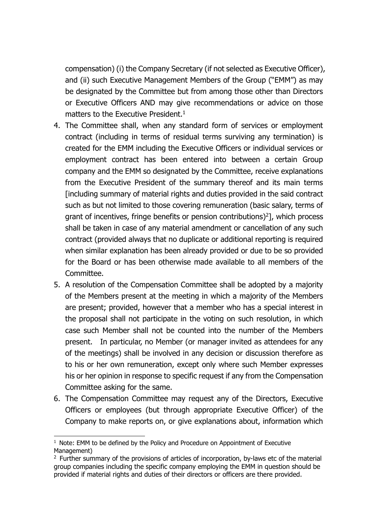compensation) (i) the Company Secretary (if not selected as Executive Officer), and (ii) such Executive Management Members of the Group ("EMM") as may be designated by the Committee but from among those other than Directors or Executive Officers AND may give recommendations or advice on those matters to the Executive President. 1

- 4. The Committee shall, when any standard form of services or employment contract (including in terms of residual terms surviving any termination) is created for the EMM including the Executive Officers or individual services or employment contract has been entered into between a certain Group company and the EMM so designated by the Committee, receive explanations from the Executive President of the summary thereof and its main terms [including summary of material rights and duties provided in the said contract such as but not limited to those covering remuneration (basic salary, terms of grant of incentives, fringe benefits or pension contributions $)^2$ ], which process shall be taken in case of any material amendment or cancellation of any such contract (provided always that no duplicate or additional reporting is required when similar explanation has been already provided or due to be so provided for the Board or has been otherwise made available to all members of the Committee.
- 5. A resolution of the Compensation Committee shall be adopted by a majority of the Members present at the meeting in which a majority of the Members are present; provided, however that a member who has a special interest in the proposal shall not participate in the voting on such resolution, in which case such Member shall not be counted into the number of the Members present. In particular, no Member (or manager invited as attendees for any of the meetings) shall be involved in any decision or discussion therefore as to his or her own remuneration, except only where such Member expresses his or her opinion in response to specific request if any from the Compensation Committee asking for the same.
- 6. The Compensation Committee may request any of the Directors, Executive Officers or employees (but through appropriate Executive Officer) of the Company to make reports on, or give explanations about, information which

 $\overline{\phantom{a}}$ 

 $1$  Note: EMM to be defined by the Policy and Procedure on Appointment of Executive Management)

 $2$  Further summary of the provisions of articles of incorporation, by-laws etc of the material group companies including the specific company employing the EMM in question should be provided if material rights and duties of their directors or officers are there provided.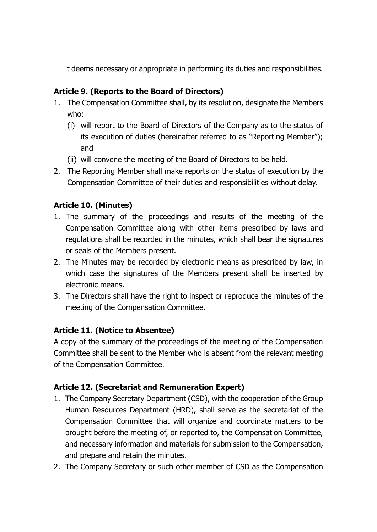it deems necessary or appropriate in performing its duties and responsibilities.

# **Article 9. (Reports to the Board of Directors)**

- 1. The Compensation Committee shall, by its resolution, designate the Members who:
	- (i) will report to the Board of Directors of the Company as to the status of its execution of duties (hereinafter referred to as "Reporting Member"); and
	- (ii) will convene the meeting of the Board of Directors to be held.
- 2. The Reporting Member shall make reports on the status of execution by the Compensation Committee of their duties and responsibilities without delay.

## **Article 10. (Minutes)**

- 1. The summary of the proceedings and results of the meeting of the Compensation Committee along with other items prescribed by laws and regulations shall be recorded in the minutes, which shall bear the signatures or seals of the Members present.
- 2. The Minutes may be recorded by electronic means as prescribed by law, in which case the signatures of the Members present shall be inserted by electronic means.
- 3. The Directors shall have the right to inspect or reproduce the minutes of the meeting of the Compensation Committee.

## **Article 11. (Notice to Absentee)**

A copy of the summary of the proceedings of the meeting of the Compensation Committee shall be sent to the Member who is absent from the relevant meeting of the Compensation Committee.

## **Article 12. (Secretariat and Remuneration Expert)**

- 1. The Company Secretary Department (CSD), with the cooperation of the Group Human Resources Department (HRD), shall serve as the secretariat of the Compensation Committee that will organize and coordinate matters to be brought before the meeting of, or reported to, the Compensation Committee, and necessary information and materials for submission to the Compensation, and prepare and retain the minutes.
- 2. The Company Secretary or such other member of CSD as the Compensation